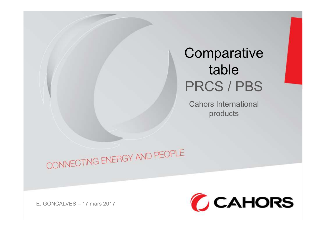## **Comparative** table PRCS / PBS

Cahors International products

CONNECTING ENERGY AND PEOPLE<br>E. GONCALVES – 17 mars 2017

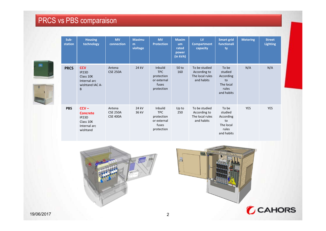## PRCS vs PBS comparaison



| <b>Housing</b><br>technology                                                 | <b>MV</b><br>connection                      | <b>Maximu</b><br>m<br>violtage | <b>MV</b><br><b>Protection</b>                                            | <b>Maxim</b><br>um<br>rated<br>power<br>(in kVA) | ${\sf LV}$<br>Compartment<br>capacity                          | <b>Smart grid</b><br>functionali<br>ty                                  | <b>Metering</b> | <b>Street</b><br><b>Lighting</b> |
|------------------------------------------------------------------------------|----------------------------------------------|--------------------------------|---------------------------------------------------------------------------|--------------------------------------------------|----------------------------------------------------------------|-------------------------------------------------------------------------|-----------------|----------------------------------|
| <b>CCV</b><br>IP23D<br>Class 10K<br>Internal arc<br>wishtand IAC A-<br>B     | Antena<br><b>CSE 250A</b>                    | 24 kV                          | Inbuild<br><b>TPC</b><br>protection<br>or external<br>fuses<br>protection | 50 <sub>to</sub><br>160                          | To be studied<br>According to<br>The local rules<br>and habits | To be<br>studied<br>According<br>to<br>The local<br>rules<br>and habits | N/A             | N/A                              |
| $CCV -$<br><b>Concrete</b><br>IP23D<br>Class 10K<br>Internal arc<br>wishtand | Antena<br><b>CSE 250A</b><br><b>CSE 400A</b> | 24 kV<br>36 kV                 | Inbuild<br><b>TPC</b><br>protection<br>or external<br>fuses<br>protection | Up to<br>250                                     | To be studied<br>According to<br>and habits                    | To be<br>studied<br>According<br>to<br>The local<br>rules<br>and habits | YES             | YES                              |
|                                                                              |                                              | <b>PBS</b> comparaison         |                                                                           |                                                  |                                                                |                                                                         | The local rules |                                  |



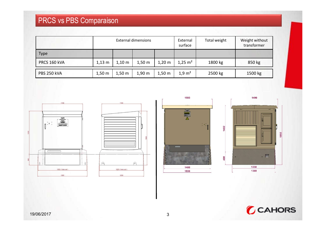## PRCS vs PBS Comparaison

| PRCS vs PBS Comparaison |          |                  |                            |                  |                      |              |                               |
|-------------------------|----------|------------------|----------------------------|------------------|----------------------|--------------|-------------------------------|
|                         |          |                  | <b>External dimensions</b> |                  | External<br>surface  | Total weight | Weight without<br>transformer |
| Type                    |          |                  |                            |                  |                      |              |                               |
| PRCS 160 kVA            | $1,13$ m | $1,10 \text{ m}$ | $1,50 \text{ m}$           | $1,20 \text{ m}$ | $1,25 \; \text{m}^2$ | 1800 kg      | 850 kg                        |





 $\frac{1}{2}$  of

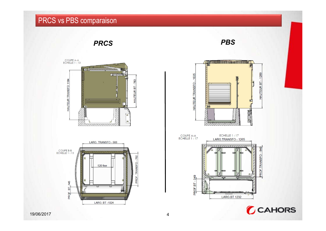## PRCS vs PBS comparaison





LARG. BT -1024